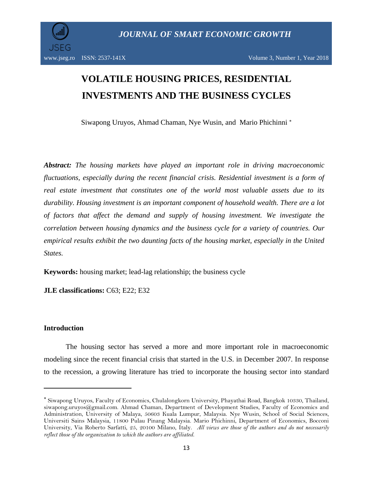

# **VOLATILE HOUSING PRICES, RESIDENTIAL INVESTMENTS AND THE BUSINESS CYCLES**

Siwapong Uruyos, Ahmad Chaman, Nye Wusin, and Mario Phichinni

*Abstract: The housing markets have played an important role in driving macroeconomic fluctuations, especially during the recent financial crisis. Residential investment is a form of real estate investment that constitutes one of the world most valuable assets due to its durability. Housing investment is an important component of household wealth. There are a lot of factors that affect the demand and supply of housing investment. We investigate the correlation between housing dynamics and the business cycle for a variety of countries. Our empirical results exhibit the two daunting facts of the housing market, especially in the United States.*

**Keywords:** housing market; lead-lag relationship; the business cycle

**JLE classifications:** C63; E22; E32

## **Introduction**

 $\overline{\phantom{a}}$ 

The housing sector has served a more and more important role in macroeconomic modeling since the recent financial crisis that started in the U.S. in December 2007. In response to the recession, a growing literature has tried to incorporate the housing sector into standard

Siwapong Uruyos, Faculty of Economics, Chulalongkorn University, Phayathai Road, Bangkok 10330, Thailand, siwapong.uruyos@gmail.com. Ahmad Chaman, Department of Development Studies, Faculty of Economics and Administration, University of Malaya, 50603 Kuala Lumpur, Malaysia. Nye Wusin, School of Social Sciences, Universiti Sains Malaysia, 11800 Pulau Pinang Malaysia. Mario Phichinni, Department of Economics, Bocconi University, Via Roberto Sarfatti, 25, 20100 Milano, Italy. *All views are those of the authors and do not necessarily reflect those of the organization to which the authors are affiliated.*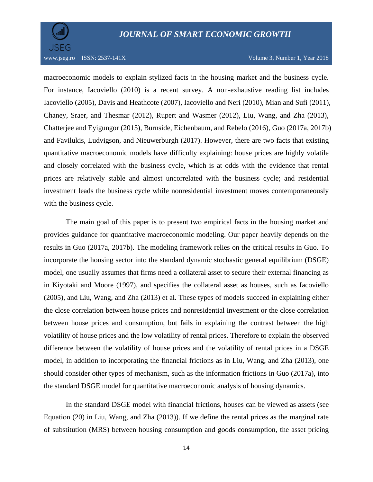

### www.jseg.ro ISSN: 2537-141X Volume 3, Number 1, Year 2018

macroeconomic models to explain stylized facts in the housing market and the business cycle. For instance, Iacoviello (2010) is a recent survey. A non-exhaustive reading list includes Iacoviello (2005), Davis and Heathcote (2007), Iacoviello and Neri (2010), Mian and Sufi (2011), Chaney, Sraer, and Thesmar (2012), Rupert and Wasmer (2012), Liu, Wang, and Zha (2013), Chatterjee and Eyigungor (2015), Burnside, Eichenbaum, and Rebelo (2016), Guo (2017a, 2017b) and Favilukis, Ludvigson, and Nieuwerburgh (2017). However, there are two facts that existing quantitative macroeconomic models have difficulty explaining: house prices are highly volatile and closely correlated with the business cycle, which is at odds with the evidence that rental prices are relatively stable and almost uncorrelated with the business cycle; and residential investment leads the business cycle while nonresidential investment moves contemporaneously with the business cycle.

The main goal of this paper is to present two empirical facts in the housing market and provides guidance for quantitative macroeconomic modeling. Our paper heavily depends on the results in Guo (2017a, 2017b). The modeling framework relies on the critical results in Guo. To incorporate the housing sector into the standard dynamic stochastic general equilibrium (DSGE) model, one usually assumes that firms need a collateral asset to secure their external financing as in Kiyotaki and Moore (1997), and specifies the collateral asset as houses, such as Iacoviello (2005), and Liu, Wang, and Zha (2013) et al. These types of models succeed in explaining either the close correlation between house prices and nonresidential investment or the close correlation between house prices and consumption, but fails in explaining the contrast between the high volatility of house prices and the low volatility of rental prices. Therefore to explain the observed difference between the volatility of house prices and the volatility of rental prices in a DSGE model, in addition to incorporating the financial frictions as in Liu, Wang, and Zha (2013), one should consider other types of mechanism, such as the information frictions in Guo (2017a), into the standard DSGE model for quantitative macroeconomic analysis of housing dynamics.

In the standard DSGE model with financial frictions, houses can be viewed as assets (see Equation (20) in Liu, Wang, and Zha (2013)). If we define the rental prices as the marginal rate of substitution (MRS) between housing consumption and goods consumption, the asset pricing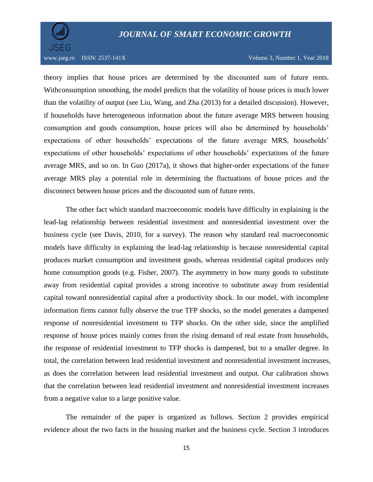## *JOURNAL OF SMART ECONOMIC GROWTH*



www.jseg.ro ISSN: 2537-141X Volume 3, Number 1, Year 2018

theory implies that house prices are determined by the discounted sum of future rents. Withconsumption smoothing, the model predicts that the volatility of house prices is much lower than the volatility of output (see Liu, Wang, and Zha (2013) for a detailed discussion). However, if households have heterogeneous information about the future average MRS between housing consumption and goods consumption, house prices will also be determined by households' expectations of other households' expectations of the future average MRS, households' expectations of other households' expectations of other households' expectations of the future average MRS, and so on. In Guo (2017a), it shows that higher-order expectations of the future average MRS play a potential role in determining the fluctuations of house prices and the disconnect between house prices and the discounted sum of future rents.

The other fact which standard macroeconomic models have difficulty in explaining is the lead-lag relationship between residential investment and nonresidential investment over the business cycle (see Davis, 2010, for a survey). The reason why standard real macroeconomic models have difficulty in explaining the lead-lag relationship is because nonresidential capital produces market consumption and investment goods, whereas residential capital produces only home consumption goods (e.g. Fisher, 2007). The asymmetry in how many goods to substitute away from residential capital provides a strong incentive to substitute away from residential capital toward nonresidential capital after a productivity shock. In our model, with incomplete information firms cannot fully observe the true TFP shocks, so the model generates a dampened response of nonresidential investment to TFP shocks. On the other side, since the amplified response of house prices mainly comes from the rising demand of real estate from households, the response of residential investment to TFP shocks is dampened, but to a smaller degree. In total, the correlation between lead residential investment and nonresidential investment increases, as does the correlation between lead residential investment and output. Our calibration shows that the correlation between lead residential investment and nonresidential investment increases from a negative value to a large positive value.

The remainder of the paper is organized as follows. Section 2 provides empirical evidence about the two facts in the housing market and the business cycle. Section 3 introduces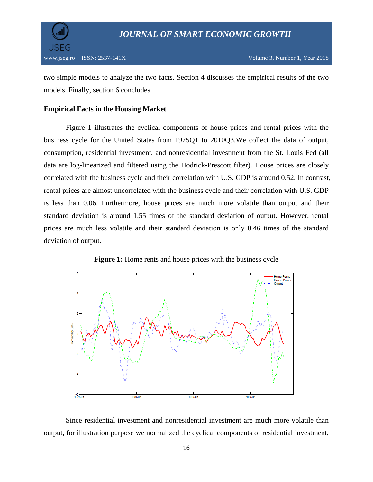

two simple models to analyze the two facts. Section 4 discusses the empirical results of the two models. Finally, section 6 concludes.

## **Empirical Facts in the Housing Market**

Figure 1 illustrates the cyclical components of house prices and rental prices with the business cycle for the United States from 1975Q1 to 2010Q3.We collect the data of output, consumption, residential investment, and nonresidential investment from the St. Louis Fed (all data are log-linearized and filtered using the Hodrick-Prescott filter). House prices are closely correlated with the business cycle and their correlation with U.S. GDP is around 0.52. In contrast, rental prices are almost uncorrelated with the business cycle and their correlation with U.S. GDP is less than 0.06. Furthermore, house prices are much more volatile than output and their standard deviation is around 1.55 times of the standard deviation of output. However, rental prices are much less volatile and their standard deviation is only 0.46 times of the standard deviation of output.



**Figure 1:** Home rents and house prices with the business cycle

Since residential investment and nonresidential investment are much more volatile than output, for illustration purpose we normalized the cyclical components of residential investment,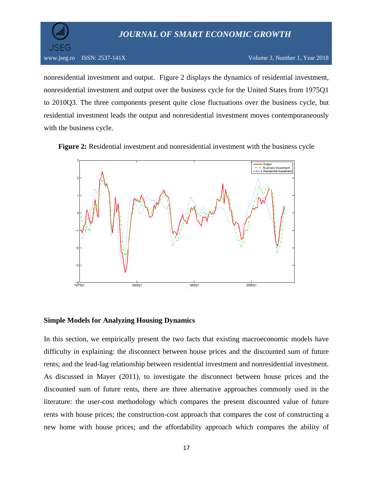## *JOURNAL OF SMART ECONOMIC GROWTH*



nonresidential investment and output. Figure 2 displays the dynamics of residential investment, nonresidential investment and output over the business cycle for the United States from 1975Q1 to 2010Q3. The three components present quite close fluctuations over the business cycle, but residential investment leads the output and nonresidential investment moves contemporaneously with the business cycle.





### **Simple Models for Analyzing Housing Dynamics**

In this section, we empirically present the two facts that existing macroeconomic models have difficulty in explaining: the disconnect between house prices and the discounted sum of future rents; and the lead-lag relationship between residential investment and nonresidential investment. As discussed in Mayer (2011), to investigate the disconnect between house prices and the discounted sum of future rents, there are three alternative approaches commonly used in the literature: the user-cost methodology which compares the present discounted value of future rents with house prices; the construction-cost approach that compares the cost of constructing a new home with house prices; and the affordability approach which compares the ability of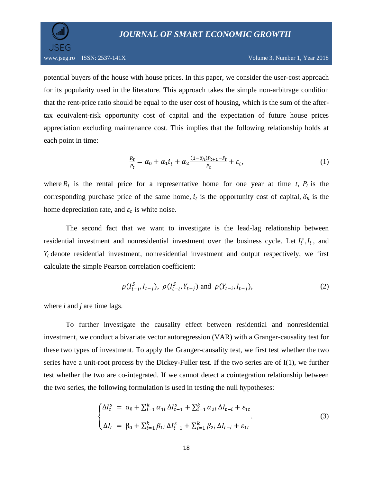JSFG

potential buyers of the house with house prices. In this paper, we consider the user-cost approach for its popularity used in the literature. This approach takes the simple non-arbitrage condition that the rent-price ratio should be equal to the user cost of housing, which is the sum of the aftertax equivalent-risk opportunity cost of capital and the expectation of future house prices appreciation excluding maintenance cost. This implies that the following relationship holds at each point in time:

$$
\frac{R_t}{P_t} = \alpha_0 + \alpha_1 i_t + \alpha_2 \frac{(1 - \delta_h)P_{t+1} - P_t}{P_t} + \varepsilon_t,
$$
\n<sup>(1)</sup>

where  $R_t$  is the rental price for a representative home for one year at time *t*,  $P_t$  is the corresponding purchase price of the same home,  $i_t$  is the opportunity cost of capital,  $\delta_h$  is the home depreciation rate, and  $\varepsilon_t$  is white noise.

The second fact that we want to investigate is the lead-lag relationship between residential investment and nonresidential investment over the business cycle. Let  $I_t^s, I_t$ , and  $Y_t$  denote residential investment, nonresidential investment and output respectively, we first calculate the simple Pearson correlation coefficient:

$$
\rho(I_{t-i}^S, I_{t-j}), \ \rho(I_{t-i}^S, Y_{t-j}) \text{ and } \rho(Y_{t-i}, I_{t-j}),
$$
\n(2)

where *i* and *j* are time lags.

To further investigate the causality effect between residential and nonresidential investment, we conduct a bivariate vector autoregression (VAR) with a Granger-causality test for these two types of investment. To apply the Granger-causality test, we first test whether the two series have a unit-root process by the Dickey-Fuller test. If the two series are of I(1), we further test whether the two are co-integrated. If we cannot detect a cointegration relationship between the two series, the following formulation is used in testing the null hypotheses:

$$
\begin{cases} \Delta I_t^s = \alpha_0 + \sum_{i=1}^k \alpha_{1i} \, \Delta I_{t-1}^s + \sum_{i=1}^k \alpha_{2i} \, \Delta I_{t-i} + \varepsilon_{1t} \\ \Delta I_t = \beta_0 + \sum_{i=1}^k \beta_{1i} \, \Delta I_{t-1}^s + \sum_{i=1}^k \beta_{2i} \, \Delta I_{t-i} + \varepsilon_{1t} \end{cases} \tag{3}
$$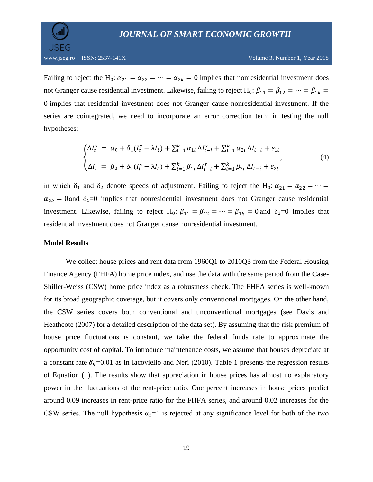JSEG

Failing to reject the H<sub>0</sub>:  $\alpha_{21} = \alpha_{22} = \cdots = \alpha_{2k} = 0$  implies that nonresidential investment does not Granger cause residential investment. Likewise, failing to reject H<sub>0</sub>:  $\beta_{11} = \beta_{12} = \cdots = \beta_{1k}$ 0 implies that residential investment does not Granger cause nonresidential investment. If the series are cointegrated, we need to incorporate an error correction term in testing the null hypotheses:

$$
\begin{cases} \Delta I_t^s = \alpha_0 + \delta_1 (I_t^s - \lambda I_t) + \sum_{i=1}^k \alpha_{1i} \, \Delta I_{t-i}^s + \sum_{i=1}^k \alpha_{2i} \, \Delta I_{t-i} + \varepsilon_{1t} \\ \Delta I_t = \beta_0 + \delta_2 (I_t^s - \lambda I_t) + \sum_{i=1}^k \beta_{1i} \, \Delta I_{t-i}^s + \sum_{i=1}^k \beta_{2i} \, \Delta I_{t-i} + \varepsilon_{2t} \end{cases} \tag{4}
$$

in which  $\delta_1$  and  $\delta_2$  denote speeds of adjustment. Failing to reject the H<sub>0</sub>:  $\alpha_{21} = \alpha_{22} = \cdots =$  $\alpha_{2k} = 0$  and  $\delta_1 = 0$  implies that nonresidential investment does not Granger cause residential investment. Likewise, failing to reject H<sub>0</sub>:  $\beta_{11} = \beta_{12} = \cdots = \beta_{1k} = 0$  and  $\delta_2 = 0$  implies that residential investment does not Granger cause nonresidential investment.

## **Model Results**

We collect house prices and rent data from 1960Q1 to 2010Q3 from the Federal Housing Finance Agency (FHFA) home price index, and use the data with the same period from the Case-Shiller-Weiss (CSW) home price index as a robustness check. The FHFA series is well-known for its broad geographic coverage, but it covers only conventional mortgages. On the other hand, the CSW series covers both conventional and unconventional mortgages (see Davis and Heathcote (2007) for a detailed description of the data set). By assuming that the risk premium of house price fluctuations is constant, we take the federal funds rate to approximate the opportunity cost of capital. To introduce maintenance costs, we assume that houses depreciate at a constant rate  $\delta_h$ =0.01 as in Iacoviello and Neri (2010). Table 1 presents the regression results of Equation (1). The results show that appreciation in house prices has almost no explanatory power in the fluctuations of the rent-price ratio. One percent increases in house prices predict around 0.09 increases in rent-price ratio for the FHFA series, and around 0.02 increases for the CSW series. The null hypothesis  $\alpha_2=1$  is rejected at any significance level for both of the two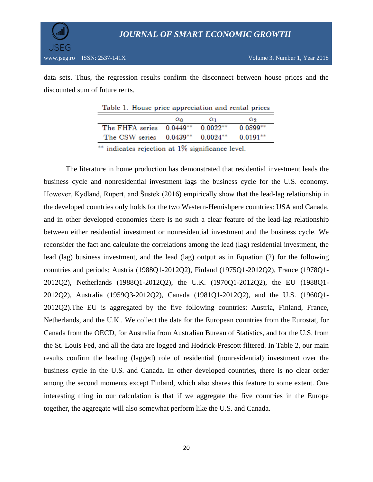data sets. Thus, the regression results confirm the disconnect between house prices and the discounted sum of future rents.

|                                    | $\alpha_0$ | $\alpha_1$  | $\alpha$   |
|------------------------------------|------------|-------------|------------|
| The FHFA series $0.0449**$         |            | $0.0022***$ | $0.0899**$ |
| The CSW series $0.0439**$ 0.0024** |            |             | $0.0191**$ |
|                                    |            |             |            |

Table 1: House price appreciation and rental prices

\*\* indicates rejection at 1% significance level.

The literature in home production has demonstrated that residential investment leads the business cycle and nonresidential investment lags the business cycle for the U.S. economy. However, Kydland, Rupert, and Šustek (2016) empirically show that the lead-lag relationship in the developed countries only holds for the two Western-Hemishpere countries: USA and Canada, and in other developed economies there is no such a clear feature of the lead-lag relationship between either residential investment or nonresidential investment and the business cycle. We reconsider the fact and calculate the correlations among the lead (lag) residential investment, the lead (lag) business investment, and the lead (lag) output as in Equation (2) for the following countries and periods: Austria (1988Q1-2012Q2), Finland (1975Q1-2012Q2), France (1978Q1- 2012Q2), Netherlands (1988Q1-2012Q2), the U.K. (1970Q1-2012Q2), the EU (1988Q1- 2012Q2), Australia (1959Q3-2012Q2), Canada (1981Q1-2012Q2), and the U.S. (1960Q1- 2012Q2).The EU is aggregated by the five following countries: Austria, Finland, France, Netherlands, and the U.K.. We collect the data for the European countries from the Eurostat, for Canada from the OECD, for Australia from Australian Bureau of Statistics, and for the U.S. from the St. Louis Fed, and all the data are logged and Hodrick-Prescott filtered. In Table 2, our main results confirm the leading (lagged) role of residential (nonresidential) investment over the business cycle in the U.S. and Canada. In other developed countries, there is no clear order among the second moments except Finland, which also shares this feature to some extent. One interesting thing in our calculation is that if we aggregate the five countries in the Europe together, the aggregate will also somewhat perform like the U.S. and Canada.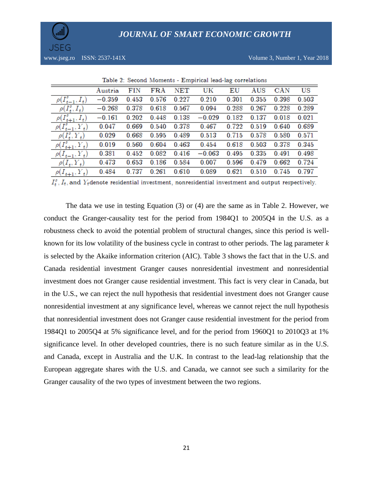

| Table 2: Second Moments - Empirical lead-lag correlations |          |       |              |                      |          |       |       |            |       |
|-----------------------------------------------------------|----------|-------|--------------|----------------------|----------|-------|-------|------------|-------|
|                                                           | Austria  | FIN   | $_{\rm FRA}$ | $\operatorname{NET}$ | UK       | ΕU    | AUS   | <b>CAN</b> | US    |
| $\rho(I_{t-1}^s, I_t)$                                    | $-0.359$ | 0.453 | 0.576        | 0.227                | 0.210    | 0.301 | 0.355 | 0.398      | 0.503 |
| $\rho(I_t^s,I_t)$                                         | $-0.268$ | 0.378 | 0.618        | 0.567                | 0.094    | 0.288 | 0.267 | 0.228      | 0.289 |
| $\rho(I_{t+1}^s, I_t)$                                    | $-0.161$ | 0.202 | 0.448        | 0.138                | $-0.029$ | 0.182 | 0.137 | 0.018      | 0.021 |
| $\rho(I_{t-1}^s, Y_t)$                                    | 0.047    | 0.669 | 0.540        | 0.378                | 0.467    | 0.722 | 0.519 | 0.640      | 0.689 |
| $\rho(I_t^s, Y_t)$                                        | 0.029    | 0.668 | 0.595        | 0.489                | 0.513    | 0.715 | 0.578 | 0.580      | 0.571 |
| $\rho(I_{t+1}^s, Y_t)$                                    | 0.019    | 0.560 | 0.604        | 0.463                | 0.454    | 0.618 | 0.503 | 0.378      | 0.345 |
| $\rho(I_{t-1}, Y_t)$                                      | 0.381    | 0.452 | 0.082        | 0.416                | $-0.063$ | 0495  | 0.335 | 0.491      | 0.498 |
| $\rho(I_t, Y_t)$                                          | 0.473    | 0.653 | 0.186        | 0.584                | 0.007    | 0.596 | 0.479 | 0.662      | 0.724 |
| $\rho(I_{t+1}, Y_t)$                                      | 0.484    | 0.737 | 0.261        | 0.610                | 0.089    | 0.621 | 0.510 | 0.745      | 0.797 |

 $I_t^s$ ,  $I_t$ , and  $Y_t$ denote residential investment, nonresidential investment and output respectively.

The data we use in testing Equation (3) or (4) are the same as in Table 2. However, we conduct the Granger-causality test for the period from 1984Q1 to 2005Q4 in the U.S. as a robustness check to avoid the potential problem of structural changes, since this period is wellknown for its low volatility of the business cycle in contrast to other periods. The lag parameter *k* is selected by the Akaike information criterion (AIC). Table 3 shows the fact that in the U.S. and Canada residential investment Granger causes nonresidential investment and nonresidential investment does not Granger cause residential investment. This fact is very clear in Canada, but in the U.S., we can reject the null hypothesis that residential investment does not Granger cause nonresidential investment at any significance level, whereas we cannot reject the null hypothesis that nonresidential investment does not Granger cause residential investment for the period from 1984Q1 to 2005Q4 at 5% significance level, and for the period from 1960Q1 to 2010Q3 at 1% significance level. In other developed countries, there is no such feature similar as in the U.S. and Canada, except in Australia and the U.K. In contrast to the lead-lag relationship that the European aggregate shares with the U.S. and Canada, we cannot see such a similarity for the Granger causality of the two types of investment between the two regions.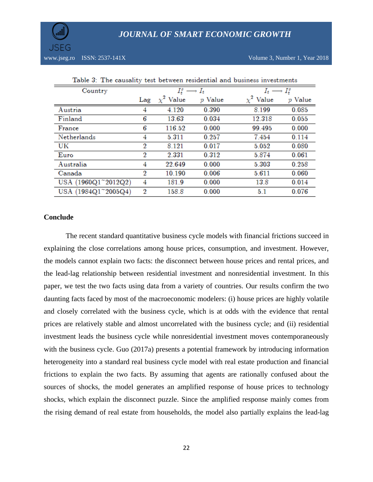

www.jseg.ro ISSN: 2537-141X Volume 3, Number 1, Year 2018

| Table 3: The causality test between residential and business investments |                  |                             |           |                             |           |  |
|--------------------------------------------------------------------------|------------------|-----------------------------|-----------|-----------------------------|-----------|--|
| Country                                                                  |                  | $I_t^s \longrightarrow I_t$ |           | $I_t \longrightarrow I_t^s$ |           |  |
|                                                                          |                  | Lag $\chi^2$ Value          | $p$ Value | $\chi^2$ Value              | $p$ Value |  |
| Austria                                                                  | 4                | 4.120                       | 0.390     | 8.199                       | 0.085     |  |
| Finland                                                                  | 6                | 13.63                       | 0.034     | 12.318                      | 0.055     |  |
| France                                                                   | 6                | 116.52                      | 0.000     | 99.495                      | 0.000     |  |
| Netherlands                                                              | 4                | 5.311                       | 0.257     | 7.454                       | 0.114     |  |
| UK                                                                       | $\boldsymbol{2}$ | 8.121                       | 0.017     | 5.052                       | 0.080     |  |
| Euro                                                                     | 2                | 2.331                       | 0.312     | 5.874                       | 0.061     |  |
| Australia                                                                | 4                | 22.649                      | 0.000     | 5.303                       | 0.258     |  |
| Canada                                                                   | 2                | 10.190                      | 0.006     | 5.611                       | 0.060     |  |
| USA (1960Q1~2012Q2)                                                      | 4                | 181.9                       | 0.000     | 13.8                        | 0.014     |  |
| USA (1984Q1~2005Q4)                                                      | 2                | 158.8                       | 0.000     | 5.1                         | 0.076     |  |

## **Conclude**

The recent standard quantitative business cycle models with financial frictions succeed in explaining the close correlations among house prices, consumption, and investment. However, the models cannot explain two facts: the disconnect between house prices and rental prices, and the lead-lag relationship between residential investment and nonresidential investment. In this paper, we test the two facts using data from a variety of countries. Our results confirm the two daunting facts faced by most of the macroeconomic modelers: (i) house prices are highly volatile and closely correlated with the business cycle, which is at odds with the evidence that rental prices are relatively stable and almost uncorrelated with the business cycle; and (ii) residential investment leads the business cycle while nonresidential investment moves contemporaneously with the business cycle. Guo (2017a) presents a potential framework by introducing information heterogeneity into a standard real business cycle model with real estate production and financial frictions to explain the two facts. By assuming that agents are rationally confused about the sources of shocks, the model generates an amplified response of house prices to technology shocks, which explain the disconnect puzzle. Since the amplified response mainly comes from the rising demand of real estate from households, the model also partially explains the lead-lag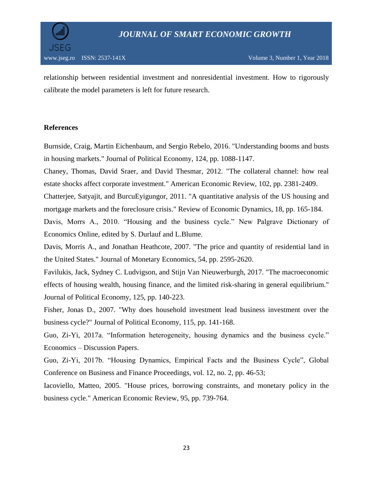

relationship between residential investment and nonresidential investment. How to rigorously calibrate the model parameters is left for future research.

## **References**

Burnside, Craig, Martin Eichenbaum, and Sergio Rebelo, 2016. "Understanding booms and busts in housing markets." Journal of Political Economy, 124, pp. 1088-1147.

Chaney, Thomas, David Sraer, and David Thesmar, 2012. "The collateral channel: how real estate shocks affect corporate investment." American Economic Review, 102, pp. 2381-2409.

Chatterjee, Satyajit, and BurcuEyigungor, 2011. "A quantitative analysis of the US housing and mortgage markets and the foreclosure crisis." Review of Economic Dynamics, 18, pp. 165-184.

Davis, Morrs A., 2010. "Housing and the business cycle." New Palgrave Dictionary of Economics Online, edited by S. Durlauf and L.Blume.

Davis, Morris A., and Jonathan Heathcote, 2007. "The price and quantity of residential land in the United States." Journal of Monetary Economics, 54, pp. 2595-2620.

Favilukis, Jack, Sydney C. Ludvigson, and Stijn Van Nieuwerburgh, 2017. "The macroeconomic effects of housing wealth, housing finance, and the limited risk-sharing in general equilibrium." Journal of Political Economy, 125, pp. 140-223.

Fisher, Jonas D., 2007. "Why does household investment lead business investment over the business cycle?" Journal of Political Economy, 115, pp. 141-168.

Guo, Zi-Yi, 2017a. "Information heterogeneity, housing dynamics and the business cycle." Economics – Discussion Papers.

Guo, Zi-Yi, 2017b. "Housing Dynamics, Empirical Facts and the Business Cycle", Global Conference on Business and Finance Proceedings, vol. 12, no. 2, pp. 46-53;

Iacoviello, Matteo, 2005. "House prices, borrowing constraints, and monetary policy in the business cycle." American Economic Review, 95, pp. 739-764.